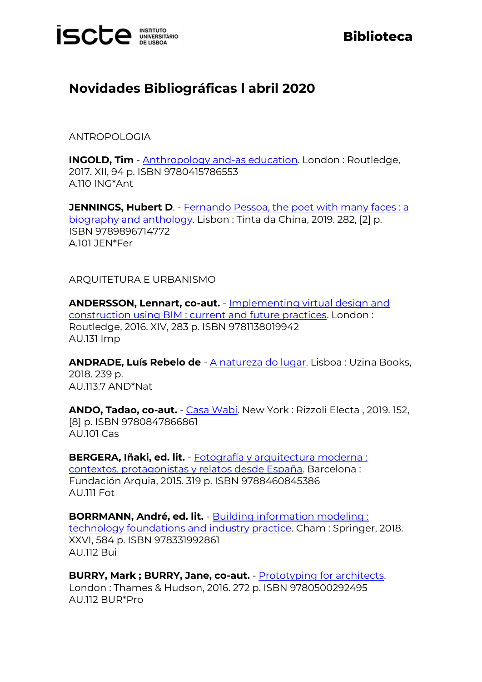

## **Biblioteca**

## **Novidades Bibliográficas l abril 2020**

ANTROPOLOGIA

**INGOLD, Tim** - [Anthropology and-as education.](https://catalogo.biblioteca.iscte-iul.pt/cgi-bin/koha/opac-detail.pl?biblionumber=105027) London : Routledge, 2017. XII, 94 p. ISBN 9780415786553 A.110 ING\*Ant

**JENNINGS, Hubert D. - Fernando Pessoa, the poet with many faces: a** [biography and anthology.](https://catalogo.biblioteca.iscte-iul.pt/cgi-bin/koha/opac-detail.pl?biblionumber=104930) Lisbon : Tinta da China, 2019. 282, [2] p. ISBN 9789896714772 A.101 JEN\*Fer

ARQUITETURA E URBANISMO

**ANDERSSON, Lennart, co-aut.** - [Implementing virtual design and](https://catalogo.biblioteca.iscte-iul.pt/cgi-bin/koha/opac-detail.pl?biblionumber=105335)  [construction using BIM : current and future practices.](https://catalogo.biblioteca.iscte-iul.pt/cgi-bin/koha/opac-detail.pl?biblionumber=105335) London : Routledge, 2016. XIV, 283 p. ISBN 9781138019942 AU.131 Imp

**ANDRADE, Luís Rebelo de** - [A natureza do lugar.](https://catalogo.biblioteca.iscte-iul.pt/cgi-bin/koha/opac-detail.pl?biblionumber=105015) Lisboa : Uzina Books, 2018. 239 p. AU.113.7 AND\*Nat

**ANDO, Tadao, co-aut.** - [Casa Wabi.](https://catalogo.biblioteca.iscte-iul.pt/cgi-bin/koha/opac-detail.pl?biblionumber=105328) New York : Rizzoli Electa , 2019. 152, [8] p. ISBN 9780847866861 AU.101 Cas

**BERGERA, Iñaki, ed. lit.** - [Fotografía y arquitectura moderna :](https://catalogo.biblioteca.iscte-iul.pt/cgi-bin/koha/opac-detail.pl?biblionumber=104534)  [contextos, protagonistas y relatos desde España.](https://catalogo.biblioteca.iscte-iul.pt/cgi-bin/koha/opac-detail.pl?biblionumber=104534) Barcelona : Fundación Arquia, 2015. 319 p. ISBN 9788460845386 AU.111 Fot

**BORRMANN, André, ed. lit.** - [Building information modeling :](https://catalogo.biblioteca.iscte-iul.pt/cgi-bin/koha/opac-detail.pl?biblionumber=105400)  [technology foundations and industry practice.](https://catalogo.biblioteca.iscte-iul.pt/cgi-bin/koha/opac-detail.pl?biblionumber=105400) Cham : Springer, 2018. XXVI, 584 p. ISBN 978331992861 AU.112 Bui

**BURRY, Mark ; BURRY, Jane, co-aut.** - **Prototyping for architects**. London : Thames & Hudson, 2016. 272 p. ISBN 9780500292495 AU.112 BUR\*Pro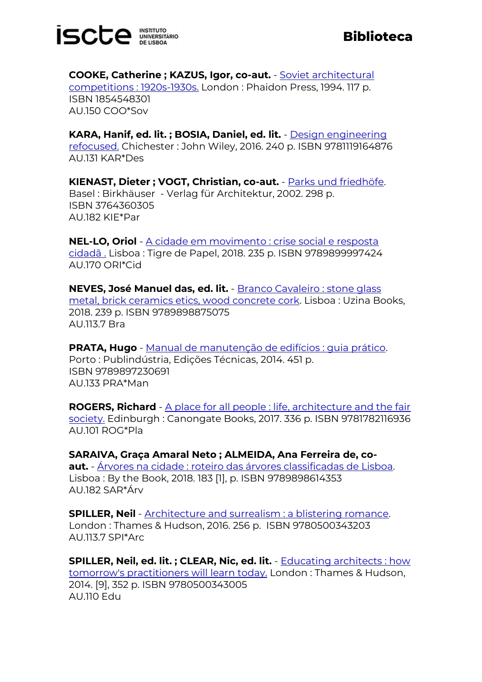

**COOKE, Catherine ; KAZUS, Igor, co-aut.** - [Soviet architectural](https://catalogo.biblioteca.iscte-iul.pt/cgi-bin/koha/opac-detail.pl?biblionumber=105325)  [competitions : 1920s-1930s.](https://catalogo.biblioteca.iscte-iul.pt/cgi-bin/koha/opac-detail.pl?biblionumber=105325) London : Phaidon Press, 1994. 117 p. ISBN 1854548301 AU.150 COO\*Sov

**KARA, Hanif, ed. lit. ; BOSIA, Daniel, ed. lit.** - [Design engineering](https://catalogo.biblioteca.iscte-iul.pt/cgi-bin/koha/opac-detail.pl?biblionumber=105334)  [refocused.](https://catalogo.biblioteca.iscte-iul.pt/cgi-bin/koha/opac-detail.pl?biblionumber=105334) Chichester : John Wiley, 2016. 240 p. ISBN 9781119164876 AU.131 KAR\*Des

**KIENAST, Dieter ; VOGT, Christian, co-aut.** - [Parks und friedhöfe.](https://catalogo.biblioteca.iscte-iul.pt/cgi-bin/koha/opac-detail.pl?biblionumber=105426) Basel : Birkhäuser - Verlag für Architektur, 2002. 298 p. ISBN 3764360305 AU.182 KIE\*Par

**NEL-LO, Oriol** - [A cidade em movimento : crise social e resposta](http://catalogo.biblioteca.iscte-iul.pt/cgi-bin/koha/opac-detail.pl?biblionumber=105224)  [cidadã .](http://catalogo.biblioteca.iscte-iul.pt/cgi-bin/koha/opac-detail.pl?biblionumber=105224) Lisboa : Tigre de Papel, 2018. 235 p. ISBN 9789899997424 AU.170 ORI\*Cid

**NEVES, José Manuel das, ed. lit.** - [Branco Cavaleiro : stone glass](https://catalogo.biblioteca.iscte-iul.pt/cgi-bin/koha/opac-detail.pl?biblionumber=105014)  [metal, brick ceramics etics, wood concrete cork.](https://catalogo.biblioteca.iscte-iul.pt/cgi-bin/koha/opac-detail.pl?biblionumber=105014) Lisboa : Uzina Books, 2018. 239 p. ISBN 9789898875075 AU.113.7 Bra

**PRATA, Hugo** - [Manual de manutenção de edifícios : guia prático.](https://catalogo.biblioteca.iscte-iul.pt/cgi-bin/koha/opac-detail.pl?biblionumber=105091) Porto : Publindústria, Edições Técnicas, 2014. 451 p. ISBN 9789897230691 AU.133 PRA\*Man

**ROGERS, Richard** - [A place for all people : life, architecture and the fair](https://catalogo.biblioteca.iscte-iul.pt/cgi-bin/koha/opac-detail.pl?biblionumber=105345)  [society.](https://catalogo.biblioteca.iscte-iul.pt/cgi-bin/koha/opac-detail.pl?biblionumber=105345) Edinburgh : Canongate Books, 2017. 336 p. ISBN 9781782116936 AU.101 ROG\*Pla

**SARAIVA, Graça Amaral Neto ; ALMEIDA, Ana Ferreira de, coaut.** - [Árvores na cidade : roteiro das árvores classificadas de Lisboa.](https://catalogo.biblioteca.iscte-iul.pt/cgi-bin/koha/opac-detail.pl?biblionumber=105138) Lisboa : By the Book, 2018. 183 [1], p. ISBN 9789898614353 AU.182 SAR\*Árv

**SPILLER, Neil** - [Architecture and surrealism : a blistering romance.](https://catalogo.biblioteca.iscte-iul.pt/cgi-bin/koha/opac-detail.pl?biblionumber=105327) London : Thames & Hudson, 2016. 256 p. ISBN 9780500343203 AU.113.7 SPI\*Arc

**SPILLER, Neil, ed. lit. ; CLEAR, Nic, ed. lit.** - [Educating architects : how](https://catalogo.biblioteca.iscte-iul.pt/cgi-bin/koha/opac-detail.pl?biblionumber=105018)  [tomorrow's practitioners will learn today.](https://catalogo.biblioteca.iscte-iul.pt/cgi-bin/koha/opac-detail.pl?biblionumber=105018) London : Thames & Hudson, 2014. [9], 352 p. ISBN 9780500343005 AU.110 Edu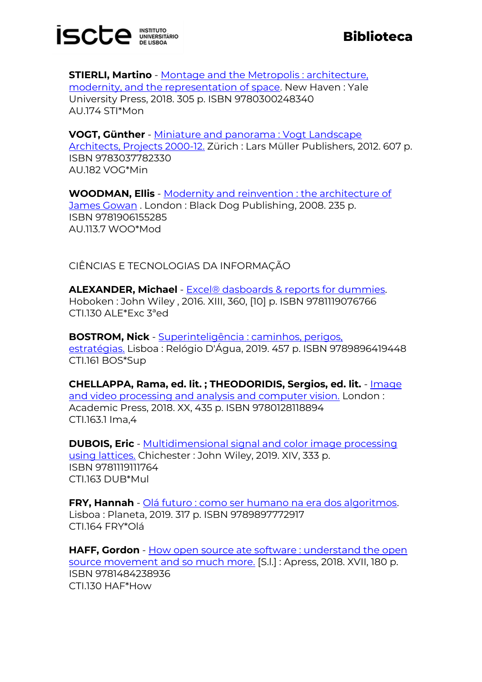

**STIERLI, Martino** - Montage and the Metropolis : architecture, [modernity, and the representation of space.](https://catalogo.biblioteca.iscte-iul.pt/cgi-bin/koha/opac-detail.pl?biblionumber=105336) New Haven: Yale University Press, 2018. 305 p. ISBN 9780300248340 AU.174 STI\*Mon

**VOGT, Günther** - [Miniature and panorama : Vogt Landscape](https://catalogo.biblioteca.iscte-iul.pt/cgi-bin/koha/opac-detail.pl?biblionumber=105343)  [Architects, Projects 2000-12.](https://catalogo.biblioteca.iscte-iul.pt/cgi-bin/koha/opac-detail.pl?biblionumber=105343) Zürich : Lars Müller Publishers, 2012. 607 p. ISBN 9783037782330 AU.182 VOG\*Min

**WOODMAN, Ellis** - [Modernity and reinvention : the architecture of](https://catalogo.biblioteca.iscte-iul.pt/cgi-bin/koha/opac-detail.pl?biblionumber=105324)  [James Gowan](https://catalogo.biblioteca.iscte-iul.pt/cgi-bin/koha/opac-detail.pl?biblionumber=105324) . London : Black Dog Publishing, 2008. 235 p. ISBN 9781906155285 AU.113.7 WOO\*Mod

CIÊNCIAS E TECNOLOGIAS DA INFORMAÇÃO

**ALEXANDER, Michael** - [Excel® dasboards & reports for dummies.](https://catalogo.biblioteca.iscte-iul.pt/cgi-bin/koha/opac-detail.pl?biblionumber=104013) Hoboken : John Wiley , 2016. XIII, 360, [10] p. ISBN 9781119076766 CTI.130 ALE\*Exc 3ªed

**BOSTROM, Nick** - [Superinteligência : caminhos, perigos,](https://catalogo.biblioteca.iscte-iul.pt/cgi-bin/koha/opac-detail.pl?biblionumber=105355)  [estratégias.](https://catalogo.biblioteca.iscte-iul.pt/cgi-bin/koha/opac-detail.pl?biblionumber=105355) Lisboa : Relógio D'Água, 2019. 457 p. ISBN 9789896419448 CTI.161 BOS\*Sup

**CHELLAPPA, Rama, ed. lit. ; THEODORIDIS, Sergios, ed. lit.** - [Image](https://catalogo.biblioteca.iscte-iul.pt/cgi-bin/koha/opac-detail.pl?biblionumber=105337)  [and video processing and analysis and computer vision.](https://catalogo.biblioteca.iscte-iul.pt/cgi-bin/koha/opac-detail.pl?biblionumber=105337) London : Academic Press, 2018. XX, 435 p. ISBN 9780128118894 CTI.163.1 Ima,4

**DUBOIS, Eric** - **Multidimensional signal and color image processing** [using lattices.](https://catalogo.biblioteca.iscte-iul.pt/cgi-bin/koha/opac-detail.pl?biblionumber=105019) Chichester : John Wiley, 2019. XIV, 333 p. ISBN 9781119111764 CTI.163 DUB\*Mul

**FRY, Hannah** - [Olá futuro : como ser humano na era dos algoritmos.](https://catalogo.biblioteca.iscte-iul.pt/cgi-bin/koha/opac-detail.pl?biblionumber=105223) Lisboa : Planeta, 2019. 317 p. ISBN 9789897772917 CTI.164 FRY\*Olá

**HAFF, Gordon** - How open source ate software : understand the open [source movement and so much more.](https://catalogo.biblioteca.iscte-iul.pt/cgi-bin/koha/opac-detail.pl?biblionumber=104116) [S.l.] : Apress, 2018. XVII, 180 p. ISBN 9781484238936 CTI.130 HAF\*How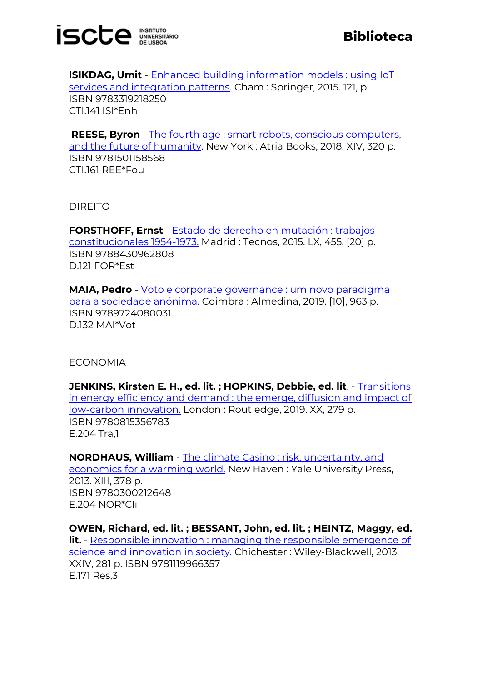

**ISIKDAG, Umit** - [Enhanced building information models : using IoT](https://catalogo.biblioteca.iscte-iul.pt/cgi-bin/koha/opac-detail.pl?biblionumber=105305)  [services and integration patterns.](https://catalogo.biblioteca.iscte-iul.pt/cgi-bin/koha/opac-detail.pl?biblionumber=105305) Cham : Springer, 2015. 121, p. ISBN 9783319218250 CTI.141 ISI\*Enh

**REESE, Byron** - [The fourth age : smart robots, conscious computers,](https://catalogo.biblioteca.iscte-iul.pt/cgi-bin/koha/opac-detail.pl?biblionumber=105396)  [and the future of humanity.](https://catalogo.biblioteca.iscte-iul.pt/cgi-bin/koha/opac-detail.pl?biblionumber=105396) New York : Atria Books, 2018. XIV, 320 p. ISBN 9781501158568 CTI.161 REE\*Fou

DIREITO

**FORSTHOFF, Ernst** - [Estado de derecho en mutación : trabajos](https://catalogo.biblioteca.iscte-iul.pt/cgi-bin/koha/opac-detail.pl?biblionumber=104737)  [constitucionales 1954-1973.](https://catalogo.biblioteca.iscte-iul.pt/cgi-bin/koha/opac-detail.pl?biblionumber=104737) Madrid : Tecnos, 2015. LX, 455, [20] p. ISBN 9788430962808 D.121 FOR\*Est

**MAIA, Pedro** - [Voto e corporate governance : um novo paradigma](https://catalogo.biblioteca.iscte-iul.pt/cgi-bin/koha/opac-detail.pl?biblionumber=105347)  [para a sociedade anónima.](https://catalogo.biblioteca.iscte-iul.pt/cgi-bin/koha/opac-detail.pl?biblionumber=105347) Coimbra : Almedina, 2019. [10], 963 p. ISBN 9789724080031 D.132 MAI\*Vot

ECONOMIA

**JENKINS, Kirsten E. H., ed. lit. ; HOPKINS, Debbie, ed. lit**. - [Transitions](https://catalogo.biblioteca.iscte-iul.pt/cgi-bin/koha/opac-detail.pl?biblionumber=105398)  [in energy efficiency and demand : the emerge, diffusion and impact of](https://catalogo.biblioteca.iscte-iul.pt/cgi-bin/koha/opac-detail.pl?biblionumber=105398)  [low-carbon innovation.](https://catalogo.biblioteca.iscte-iul.pt/cgi-bin/koha/opac-detail.pl?biblionumber=105398) London : Routledge, 2019. XX, 279 p. ISBN 9780815356783 E.204 Tra,1

**NORDHAUS, William** - [The climate Casino : risk, uncertainty, and](https://catalogo.biblioteca.iscte-iul.pt/cgi-bin/koha/opac-detail.pl?biblionumber=105395)  [economics for a warming world.](https://catalogo.biblioteca.iscte-iul.pt/cgi-bin/koha/opac-detail.pl?biblionumber=105395) New Haven : Yale University Press, 2013. XIII, 378 p. ISBN 9780300212648 E.204 NOR\*Cli

**OWEN, Richard, ed. lit. ; BESSANT, John, ed. lit. ; HEINTZ, Maggy, ed. lit.** - [Responsible innovation : managing the responsible emergence](https://catalogo.biblioteca.iscte-iul.pt/cgi-bin/koha/opac-detail.pl?biblionumber=105392) of [science and innovation in society.](https://catalogo.biblioteca.iscte-iul.pt/cgi-bin/koha/opac-detail.pl?biblionumber=105392) Chichester : Wiley-Blackwell, 2013. XXIV, 281 p. ISBN 9781119966357 E.171 Res,3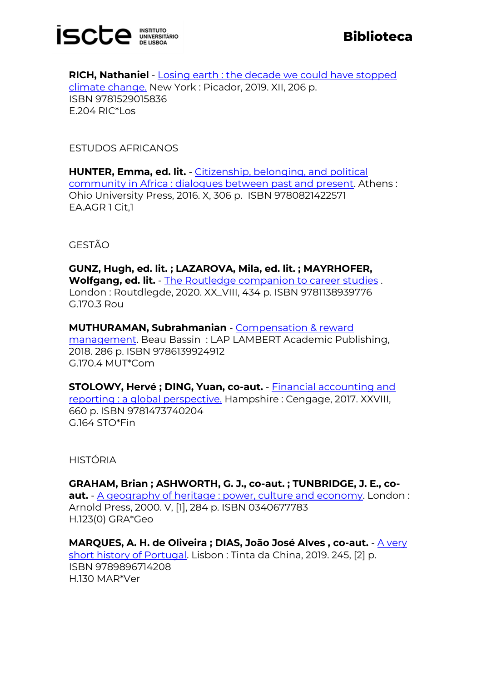

**RICH, Nathaniel** - [Losing earth : the decade we could have stopped](https://catalogo.biblioteca.iscte-iul.pt/cgi-bin/koha/opac-detail.pl?biblionumber=104643)  [climate change.](https://catalogo.biblioteca.iscte-iul.pt/cgi-bin/koha/opac-detail.pl?biblionumber=104643) New York : Picador, 2019. XII, 206 p. ISBN 9781529015836 E.204 RIC\*Los

ESTUDOS AFRICANOS

**HUNTER, Emma, ed. lit.** - [Citizenship, belonging, and political](https://catalogo.biblioteca.iscte-iul.pt/cgi-bin/koha/opac-detail.pl?biblionumber=104566)  [community in Africa : dialogues between past and present.](https://catalogo.biblioteca.iscte-iul.pt/cgi-bin/koha/opac-detail.pl?biblionumber=104566) Athens : Ohio University Press, 2016. X, 306 p. ISBN 9780821422571 EA.AGR 1 Cit,1

GESTÃO

**GUNZ, Hugh, ed. lit. ; LAZAROVA, Mila, ed. lit. ; MAYRHOFER, Wolfgang, ed. lit.** - [The Routledge companion to career studies](https://catalogo.biblioteca.iscte-iul.pt/cgi-bin/koha/opac-detail.pl?biblionumber=105329) . London : Routdlegde, 2020. XX\_VIII, 434 p. ISBN 9781138939776 G.170.3 Rou

**MUTHURAMAN, Subrahmanian** - [Compensation & reward](https://catalogo.biblioteca.iscte-iul.pt/cgi-bin/koha/opac-detail.pl?biblionumber=104193)  [management.](https://catalogo.biblioteca.iscte-iul.pt/cgi-bin/koha/opac-detail.pl?biblionumber=104193) Beau Bassin : LAP LAMBERT Academic Publishing, 2018. 286 p. ISBN 9786139924912 G.170.4 MUT\*Com

**STOLOWY, Hervé ; DING, Yuan, co-aut.** - [Financial accounting and](https://catalogo.biblioteca.iscte-iul.pt/cgi-bin/koha/opac-detail.pl?biblionumber=105331)  [reporting : a global perspective.](https://catalogo.biblioteca.iscte-iul.pt/cgi-bin/koha/opac-detail.pl?biblionumber=105331) Hampshire : Cengage, 2017. XXVIII, 660 p. ISBN 9781473740204 G.164 STO\*Fin

HISTÓRIA

**GRAHAM, Brian ; ASHWORTH, G. J., co-aut. ; TUNBRIDGE, J. E., coaut.** - [A geography of heritage : power, culture and economy.](https://catalogo.biblioteca.iscte-iul.pt/cgi-bin/koha/opac-detail.pl?biblionumber=105397) London : Arnold Press, 2000. V, [1], 284 p. ISBN 0340677783 H.123(0) GRA\*Geo

**MARQUES, A. H. de Oliveira ; DIAS, João José Alves, co-aut.** - A very [short history of Portugal.](https://catalogo.biblioteca.iscte-iul.pt/cgi-bin/koha/opac-detail.pl?biblionumber=104929) Lisbon : Tinta da China, 2019. 245, [2] p. ISBN 9789896714208 H.130 MAR\*Ver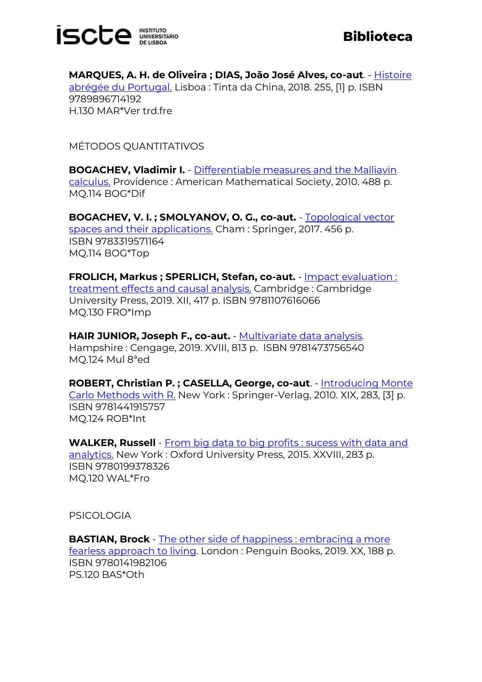

**MARQUES, A. H. de Oliveira ; DIAS, João José Alves, co-aut**. - [Histoire](https://catalogo.biblioteca.iscte-iul.pt/cgi-bin/koha/opac-detail.pl?biblionumber=104932)  [abrégée du Portugal.](https://catalogo.biblioteca.iscte-iul.pt/cgi-bin/koha/opac-detail.pl?biblionumber=104932) Lisboa : Tinta da China, 2018. 255, [1] p. ISBN 9789896714192 H.130 MAR\*Ver trd.fre

MÉTODOS QUANTITATIVOS

**BOGACHEV, Vladimir I.** - [Differentiable measures and the Malliavin](https://catalogo.biblioteca.iscte-iul.pt/cgi-bin/koha/opac-detail.pl?biblionumber=105022)  [calculus.](https://catalogo.biblioteca.iscte-iul.pt/cgi-bin/koha/opac-detail.pl?biblionumber=105022) Providence : American Mathematical Society, 2010. 488 p. MQ.114 BOG\*Dif

**BOGACHEV, V. I. ; SMOLYANOV, O. G., co-aut.** - [Topological vector](https://catalogo.biblioteca.iscte-iul.pt/cgi-bin/koha/opac-detail.pl?biblionumber=105021)  [spaces and their applications.](https://catalogo.biblioteca.iscte-iul.pt/cgi-bin/koha/opac-detail.pl?biblionumber=105021) Cham : Springer, 2017. 456 p. ISBN 9783319571164 MQ.114 BOG\*Top

**FROLICH, Markus ; SPERLICH, Stefan, co-aut.** - [Impact evaluation :](https://catalogo.biblioteca.iscte-iul.pt/cgi-bin/koha/opac-detail.pl?biblionumber=105065)  [treatment effects and causal analysis.](https://catalogo.biblioteca.iscte-iul.pt/cgi-bin/koha/opac-detail.pl?biblionumber=105065) Cambridge : Cambridge University Press, 2019. XII, 417 p. ISBN 9781107616066 MQ.130 FRO\*Imp

**HAIR JUNIOR, Joseph F., co-aut.** - [Multivariate data analysis.](https://catalogo.biblioteca.iscte-iul.pt/cgi-bin/koha/opac-detail.pl?biblionumber=105352) Hampshire : Cengage, 2019. XVIII, 813 p. ISBN 9781473756540 MQ.124 Mul 8ªed

**ROBERT, Christian P. ; CASELLA, George, co-aut**. - [Introducing Monte](https://catalogo.biblioteca.iscte-iul.pt/cgi-bin/koha/opac-detail.pl?biblionumber=105135)  [Carlo Methods with R.](https://catalogo.biblioteca.iscte-iul.pt/cgi-bin/koha/opac-detail.pl?biblionumber=105135) New York : Springer-Verlag, 2010. XIX, 283, [3] p. ISBN 9781441915757 MQ.124 ROB\*Int

**WALKER, Russell** - [From big data to big profits : sucess with data and](https://catalogo.biblioteca.iscte-iul.pt/cgi-bin/koha/opac-detail.pl?biblionumber=105427)  [analytics.](https://catalogo.biblioteca.iscte-iul.pt/cgi-bin/koha/opac-detail.pl?biblionumber=105427) New York : Oxford University Press, 2015. XXVIII, 283 p. ISBN 9780199378326 MQ.120 WAL\*Fro

PSICOLOGIA

**BASTIAN, Brock** - The other side of happiness : embracing a more [fearless approach to living.](https://catalogo.biblioteca.iscte-iul.pt/cgi-bin/koha/opac-detail.pl?biblionumber=105017) London : Penguin Books, 2019. XX, 188 p. ISBN 9780141982106 PS.120 BAS\*Oth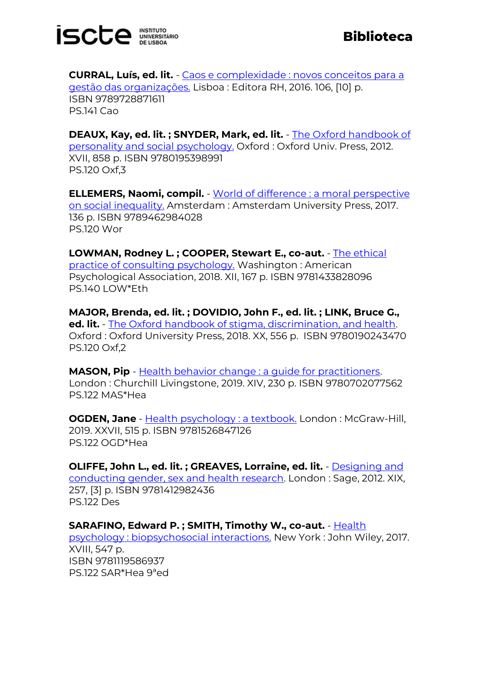

**CURRAL, Luís, ed. lit.** - [Caos e complexidade : novos conceitos para a](https://catalogo.biblioteca.iscte-iul.pt/cgi-bin/koha/opac-detail.pl?biblionumber=104928)  [gestão das organizações.](https://catalogo.biblioteca.iscte-iul.pt/cgi-bin/koha/opac-detail.pl?biblionumber=104928) Lisboa : Editora RH, 2016. 106, [10] p. ISBN 9789728871611 PS.141 Cao

**DEAUX, Kay, ed. lit. ; SNYDER, Mark, ed. lit.** - [The Oxford handbook of](https://catalogo.biblioteca.iscte-iul.pt/cgi-bin/koha/opac-detail.pl?biblionumber=104194)  [personality and social psychology.](https://catalogo.biblioteca.iscte-iul.pt/cgi-bin/koha/opac-detail.pl?biblionumber=104194) Oxford : Oxford Univ. Press, 2012. XVII, 858 p. ISBN 9780195398991 PS.120 Oxf,3

**ELLEMERS, Naomi, compil.** - [World of difference : a moral](https://catalogo.biblioteca.iscte-iul.pt/cgi-bin/koha/opac-detail.pl?biblionumber=105268) perspective [on social inequality.](https://catalogo.biblioteca.iscte-iul.pt/cgi-bin/koha/opac-detail.pl?biblionumber=105268) Amsterdam : Amsterdam University Press, 2017. 136 p. ISBN 9789462984028 PS.120 Wor

**LOWMAN, Rodney L. ; COOPER, Stewart E., co-aut.** - [The ethical](https://catalogo.biblioteca.iscte-iul.pt/cgi-bin/koha/opac-detail.pl?biblionumber=105142)  [practice of consulting psychology.](https://catalogo.biblioteca.iscte-iul.pt/cgi-bin/koha/opac-detail.pl?biblionumber=105142) Washington : American Psychological Association, 2018. XII, 167 p. ISBN 9781433828096 PS.140 LOW\*Eth

**MAJOR, Brenda, ed. lit. ; DOVIDIO, John F., ed. lit. ; LINK, Bruce G., ed. lit.** - [The Oxford handbook of stigma, discrimination, and health.](https://catalogo.biblioteca.iscte-iul.pt/cgi-bin/koha/opac-detail.pl?biblionumber=105330) Oxford : Oxford University Press, 2018. XX, 556 p. ISBN 9780190243470 PS.120 Oxf,2

**MASON, Pip** - [Health behavior change : a guide for practitioners.](https://catalogo.biblioteca.iscte-iul.pt/cgi-bin/koha/opac-detail.pl?biblionumber=105146) London : Churchill Livingstone, 2019. XIV, 230 p. ISBN 9780702077562 PS.122 MAS\*Hea

**OGDEN, Jane** - [Health psychology : a textbook.](https://catalogo.biblioteca.iscte-iul.pt/cgi-bin/koha/opac-detail.pl?biblionumber=105332) London : McGraw-Hill, 2019. XXVII, 515 p. ISBN 9781526847126 PS.122 OGD\*Hea

**OLIFFE, John L., ed. lit. ; GREAVES, Lorraine, ed. lit.** - [Designing and](https://catalogo.biblioteca.iscte-iul.pt/cgi-bin/koha/opac-detail.pl?biblionumber=105064)  [conducting gender, sex and health research.](https://catalogo.biblioteca.iscte-iul.pt/cgi-bin/koha/opac-detail.pl?biblionumber=105064) London : Sage, 2012. XIX, 257, [3] p. ISBN 9781412982436 PS.122 Des

**SARAFINO, Edward P. ; SMITH, Timothy W., co-aut.** - [Health](https://catalogo.biblioteca.iscte-iul.pt/cgi-bin/koha/opac-detail.pl?biblionumber=105333) 

[psychology : biopsychosocial interactions.](https://catalogo.biblioteca.iscte-iul.pt/cgi-bin/koha/opac-detail.pl?biblionumber=105333) New York : John Wiley, 2017. XVIII, 547 p. ISBN 9781119586937 PS.122 SAR\*Hea 9ªed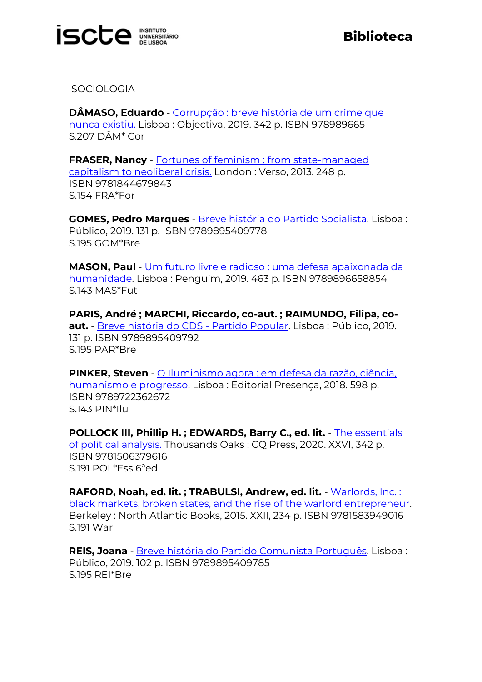

**SOCIOLOGIA** 

**DÂMASO, Eduardo** - [Corrupção : breve história de um crime que](https://catalogo.biblioteca.iscte-iul.pt/cgi-bin/koha/opac-detail.pl?biblionumber=105222)  [nunca existiu.](https://catalogo.biblioteca.iscte-iul.pt/cgi-bin/koha/opac-detail.pl?biblionumber=105222) Lisboa : Objectiva, 2019. 342 p. ISBN 978989665 S.207 DÂM\* Cor

**FRASER, Nancy** - [Fortunes of feminism : from state-managed](https://catalogo.biblioteca.iscte-iul.pt/cgi-bin/koha/opac-detail.pl?biblionumber=104814)  [capitalism to neoliberal crisis.](https://catalogo.biblioteca.iscte-iul.pt/cgi-bin/koha/opac-detail.pl?biblionumber=104814) London : Verso, 2013. 248 p. ISBN 9781844679843 S.154 FRA\*For

**GOMES, Pedro Marques** - [Breve história do Partido Socialista.](https://catalogo.biblioteca.iscte-iul.pt/cgi-bin/koha/opac-detail.pl?biblionumber=105093) Lisboa : Público, 2019. 131 p. ISBN 9789895409778 S.195 GOM\*Bre

**MASON, Paul** - [Um futuro livre e radioso : uma defesa apaixonada da](http://catalogo.biblioteca.iscte-iul.pt/cgi-bin/koha/opac-detail.pl?biblionumber=105220)  [humanidade.](http://catalogo.biblioteca.iscte-iul.pt/cgi-bin/koha/opac-detail.pl?biblionumber=105220) Lisboa : Penguim, 2019. 463 p. ISBN 9789896658854 S.143 MAS\*Fut

**PARIS, André ; MARCHI, Riccardo, co-aut. ; RAIMUNDO, Filipa, coaut.** - [Breve história do CDS -](https://catalogo.biblioteca.iscte-iul.pt/cgi-bin/koha/opac-detail.pl?biblionumber=105095) Partido Popular. Lisboa : Público, 2019. 131 p. ISBN 9789895409792 S.195 PAR\*Bre

**PINKER, Steven** - [O Iluminismo agora : em defesa da razão, ciência,](https://catalogo.biblioteca.iscte-iul.pt/cgi-bin/koha/opac-detail.pl?biblionumber=105353)  [humanismo e progresso.](https://catalogo.biblioteca.iscte-iul.pt/cgi-bin/koha/opac-detail.pl?biblionumber=105353) Lisboa : Editorial Presença, 2018. 598 p. ISBN 9789722362672 S.143 PIN\*Ilu

**POLLOCK III, Phillip H. ; EDWARDS, Barry C., ed. lit.** - [The essentials](https://catalogo.biblioteca.iscte-iul.pt/cgi-bin/koha/opac-detail.pl?biblionumber=105388)  [of political analysis.](https://catalogo.biblioteca.iscte-iul.pt/cgi-bin/koha/opac-detail.pl?biblionumber=105388) Thousands Oaks : CQ Press, 2020. XXVI, 342 p. ISBN 9781506379616 S.191 POL\*Ess 6ªed

**RAFORD, Noah, ed. lit. ; TRABULSI, Andrew, ed. lit.** - [Warlords, Inc. :](https://catalogo.biblioteca.iscte-iul.pt/cgi-bin/koha/opac-detail.pl?biblionumber=105090)  [black markets, broken states, and the rise of the warlord entrepreneur.](https://catalogo.biblioteca.iscte-iul.pt/cgi-bin/koha/opac-detail.pl?biblionumber=105090) Berkeley : North Atlantic Books, 2015. XXII, 234 p. ISBN 9781583949016 S.191 War

**REIS, Joana** - [Breve história do Partido Comunista Português.](https://catalogo.biblioteca.iscte-iul.pt/cgi-bin/koha/opac-detail.pl?biblionumber=105094) Lisboa : Público, 2019. 102 p. ISBN 9789895409785 S.195 REI\*Bre